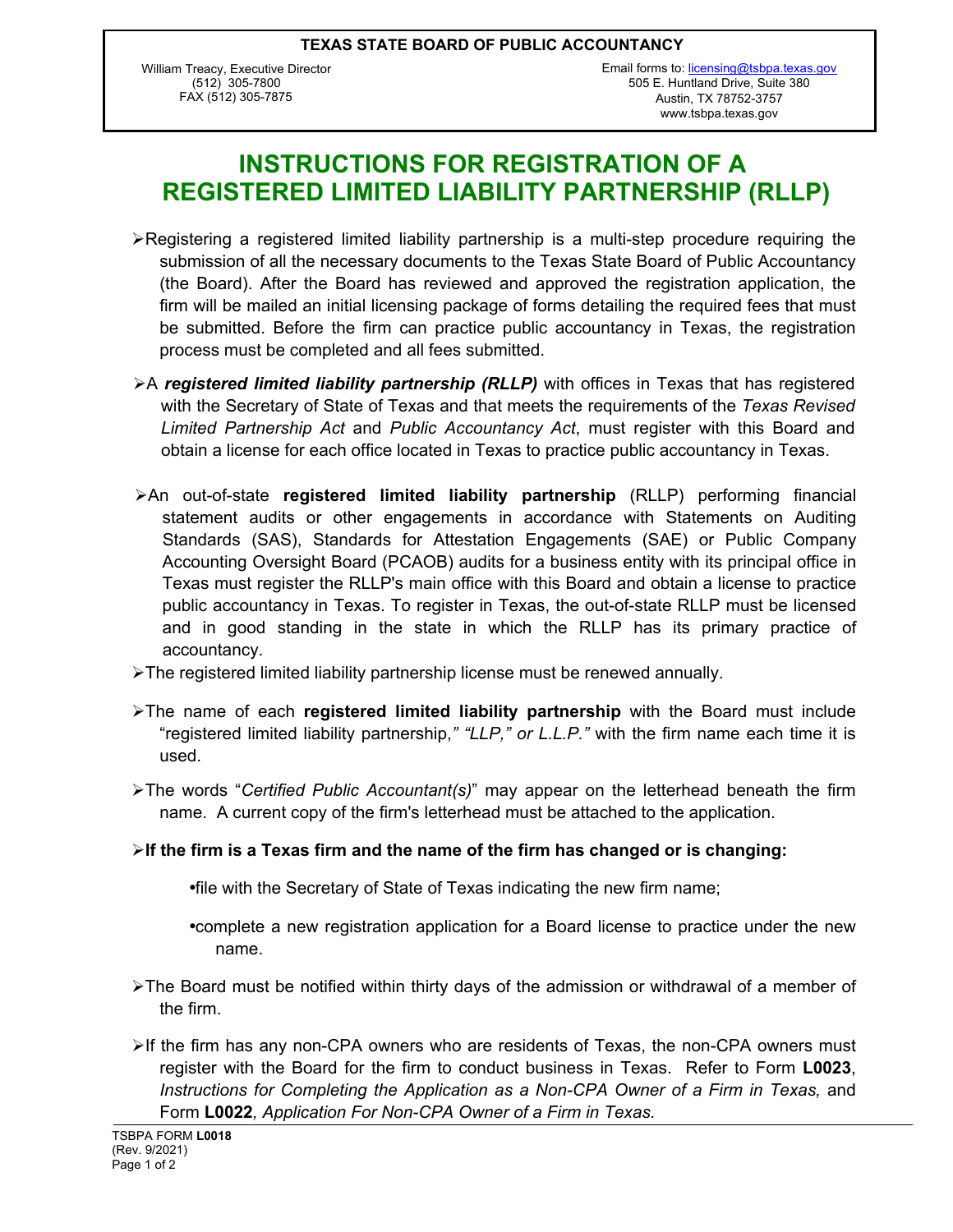William Treacy, Executive Director (512) 305-7800 FAX (512) 305-7875

## **INSTRUCTIONS FOR REGISTRATION OF A REGISTERED LIMITED LIABILITY PARTNERSHIP (RLLP)**

- ÿRegistering a registered limited liability partnership is a multi-step procedure requiring the submission of all the necessary documents to the Texas State Board of Public Accountancy (the Board). After the Board has reviewed and approved the registration application, the firm will be mailed an initial licensing package of forms detailing the required fees that must be submitted. Before the firm can practice public accountancy in Texas, the registration process must be completed and all fees submitted.
- >A *registered limited liability partnership (RLLP)* with offices in Texas that has registered with the Secretary of State of Texas and that meets the requirements of the *Texas Revised Limited Partnership Act* and *Public Accountancy Act*, must register with this Board and obtain a license for each office located in Texas to practice public accountancy in Texas.
- ÿAn out-of-state **registered limited liability partnership** (RLLP) performing financial statement audits or other engagements in accordance with Statements on Auditing Standards (SAS), Standards for Attestation Engagements (SAE) or Public Company Accounting Oversight Board (PCAOB) audits for a business entity with its principal office in Texas must register the RLLP's main office with this Board and obtain a license to practice public accountancy in Texas. To register in Texas, the out-of-state RLLP must be licensed and in good standing in the state in which the RLLP has its primary practice of accountancy.
- $\triangleright$  The registered limited liability partnership license must be renewed annually.
- ÿThe name of each **registered limited liability partnership** with the Board must include "registered limited liability partnership,*" "LLP," or L.L.P."* with the firm name each time it is used.
- ÿThe words "*Certified Public Accountant(s)*" may appear on the letterhead beneath the firm name. A current copy of the firm's letterhead must be attached to the application.
- ÿ**If the firm is a Texas firm and the name of the firm has changed or is changing:**
	- •file with the Secretary of State of Texas indicating the new firm name;
	- •complete a new registration application for a Board license to practice under the new name.
- $\triangleright$  The Board must be notified within thirty days of the admission or withdrawal of a member of the firm.
- $\triangleright$ If the firm has any non-CPA owners who are residents of Texas, the non-CPA owners must register with the Board for the firm to conduct business in Texas. Refer to Form **L0023**, *Instructions for Completing the Application as a Non-CPA Owner of a Firm in Texas,* and Form **L0022***, Application For Non-CPA Owner of a Firm in Texas.*